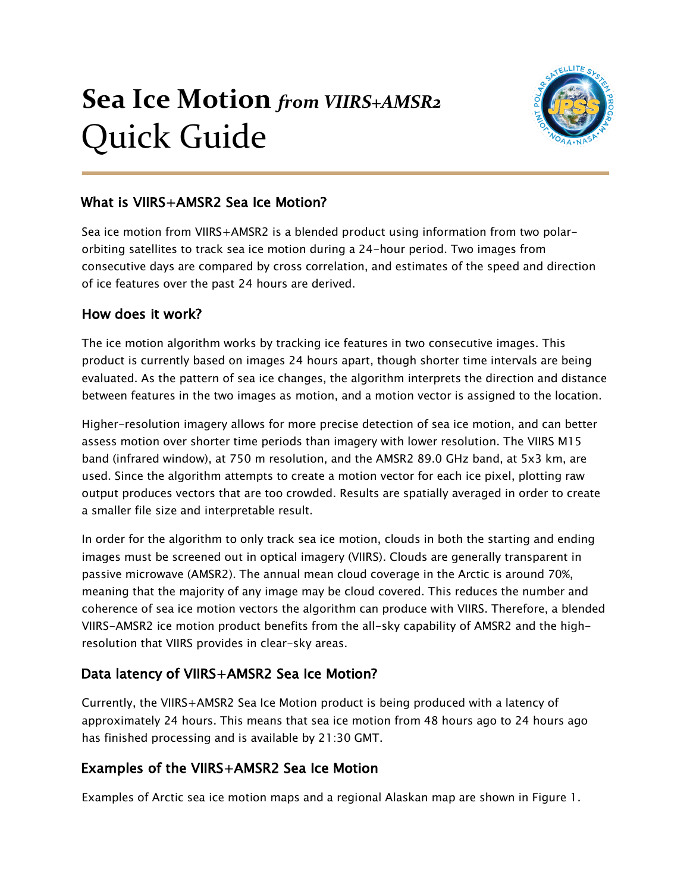# **Sea Ice Motion** *from VIIRS+AMSR2* Quick Guide



#### What is VIIRS+AMSR2 Sea Ice Motion?

Sea ice motion from VIIRS+AMSR2 is a blended product using information from two polarorbiting satellites to track sea ice motion during a 24-hour period. Two images from consecutive days are compared by cross correlation, and estimates of the speed and direction of ice features over the past 24 hours are derived.

#### How does it work?

The ice motion algorithm works by tracking ice features in two consecutive images. This product is currently based on images 24 hours apart, though shorter time intervals are being evaluated. As the pattern of sea ice changes, the algorithm interprets the direction and distance between features in the two images as motion, and a motion vector is assigned to the location.

Higher-resolution imagery allows for more precise detection of sea ice motion, and can better assess motion over shorter time periods than imagery with lower resolution. The VIIRS M15 band (infrared window), at 750 m resolution, and the AMSR2 89.0 GHz band, at 5x3 km, are used. Since the algorithm attempts to create a motion vector for each ice pixel, plotting raw output produces vectors that are too crowded. Results are spatially averaged in order to create a smaller file size and interpretable result.

In order for the algorithm to only track sea ice motion, clouds in both the starting and ending images must be screened out in optical imagery (VIIRS). Clouds are generally transparent in passive microwave (AMSR2). The annual mean cloud coverage in the Arctic is around 70%, meaning that the majority of any image may be cloud covered. This reduces the number and coherence of sea ice motion vectors the algorithm can produce with VIIRS. Therefore, a blended VIIRS-AMSR2 ice motion product benefits from the all-sky capability of AMSR2 and the highresolution that VIIRS provides in clear-sky areas.

# Data latency of VIIRS+AMSR2 Sea Ice Motion?

Currently, the VIIRS+AMSR2 Sea Ice Motion product is being produced with a latency of approximately 24 hours. This means that sea ice motion from 48 hours ago to 24 hours ago has finished processing and is available by 21:30 GMT.

# Examples of the VIIRS+AMSR2 Sea Ice Motion

Examples of Arctic sea ice motion maps and a regional Alaskan map are shown in Figure 1.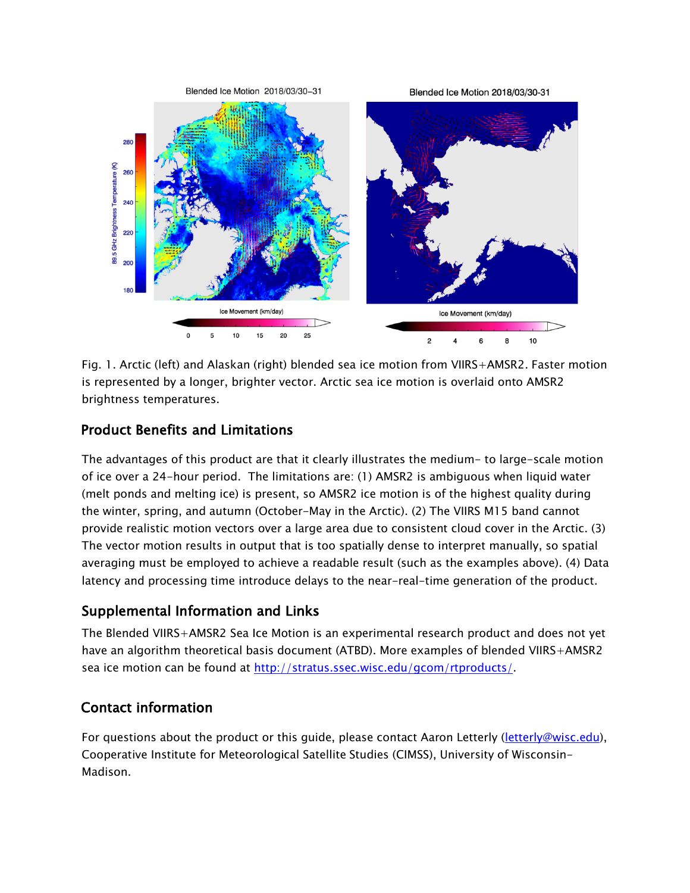

Fig. 1. Arctic (left) and Alaskan (right) blended sea ice motion from VIIRS+AMSR2. Faster motion is represented by a longer, brighter vector. Arctic sea ice motion is overlaid onto AMSR2 brightness temperatures.

#### Product Benefits and Limitations

The advantages of this product are that it clearly illustrates the medium- to large-scale motion of ice over a 24-hour period. The limitations are: (1) AMSR2 is ambiguous when liquid water (melt ponds and melting ice) is present, so AMSR2 ice motion is of the highest quality during the winter, spring, and autumn (October-May in the Arctic). (2) The VIIRS M15 band cannot provide realistic motion vectors over a large area due to consistent cloud cover in the Arctic. (3) The vector motion results in output that is too spatially dense to interpret manually, so spatial averaging must be employed to achieve a readable result (such as the examples above). (4) Data latency and processing time introduce delays to the near-real-time generation of the product.

# Supplemental Information and Links

The Blended VIIRS+AMSR2 Sea Ice Motion is an experimental research product and does not yet have an algorithm theoretical basis document (ATBD). More examples of blended VIIRS+AMSR2 sea ice motion can be found at http://stratus.ssec.wisc.edu/gcom/rtproducts/.

# Contact information

For questions about the product or this guide, please contact Aaron Letterly (letterly@wisc.edu), Cooperative Institute for Meteorological Satellite Studies (CIMSS), University of Wisconsin-Madison.